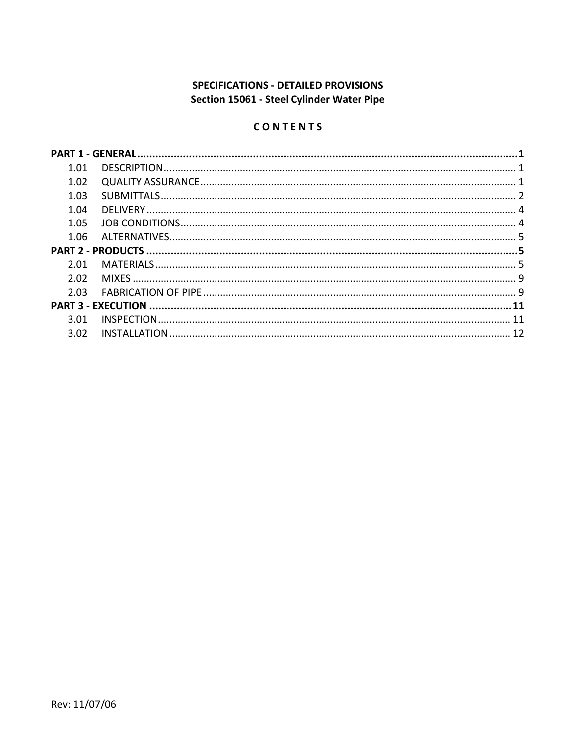# SPECIFICATIONS - DETAILED PROVISIONS Section 15061 - Steel Cylinder Water Pipe

# CONTENTS

| 1.01 |  |
|------|--|
| 1.02 |  |
| 1.03 |  |
| 1.04 |  |
| 1.05 |  |
| 1.06 |  |
|      |  |
| 2 Q1 |  |
| 2.02 |  |
|      |  |
| 2.03 |  |
|      |  |
| 3.01 |  |
| 3.02 |  |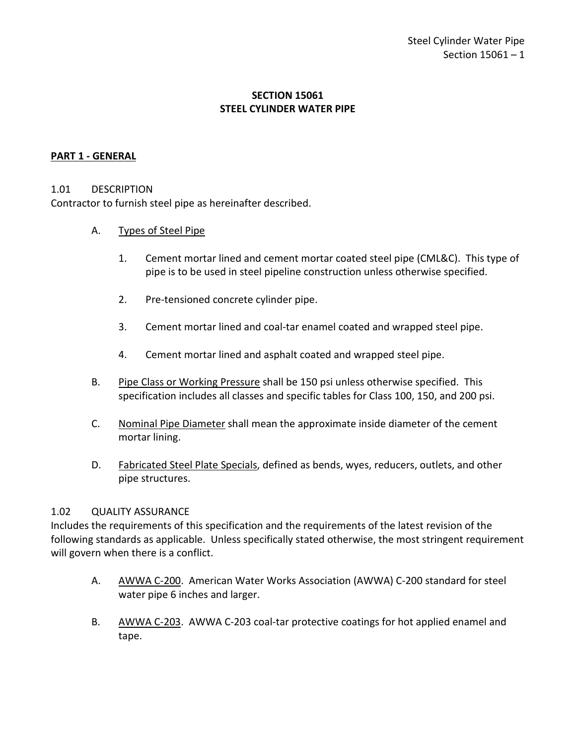### **SECTION 15061 STEEL CYLINDER WATER PIPE**

### <span id="page-2-0"></span>**PART 1 - GENERAL**

#### <span id="page-2-1"></span>1.01 DESCRIPTION

Contractor to furnish steel pipe as hereinafter described.

#### A. Types of Steel Pipe

- 1. Cement mortar lined and cement mortar coated steel pipe (CML&C). This type of pipe is to be used in steel pipeline construction unless otherwise specified.
- 2. Pre-tensioned concrete cylinder pipe.
- 3. Cement mortar lined and coal-tar enamel coated and wrapped steel pipe.
- 4. Cement mortar lined and asphalt coated and wrapped steel pipe.
- B. Pipe Class or Working Pressure shall be 150 psi unless otherwise specified. This specification includes all classes and specific tables for Class 100, 150, and 200 psi.
- C. Nominal Pipe Diameter shall mean the approximate inside diameter of the cement mortar lining.
- D. Fabricated Steel Plate Specials, defined as bends, wyes, reducers, outlets, and other pipe structures.

#### <span id="page-2-2"></span>1.02 QUALITY ASSURANCE

Includes the requirements of this specification and the requirements of the latest revision of the following standards as applicable. Unless specifically stated otherwise, the most stringent requirement will govern when there is a conflict.

- A. AWWA C-200. American Water Works Association (AWWA) C-200 standard for steel water pipe 6 inches and larger.
- B. AWWA C-203. AWWA C-203 coal-tar protective coatings for hot applied enamel and tape.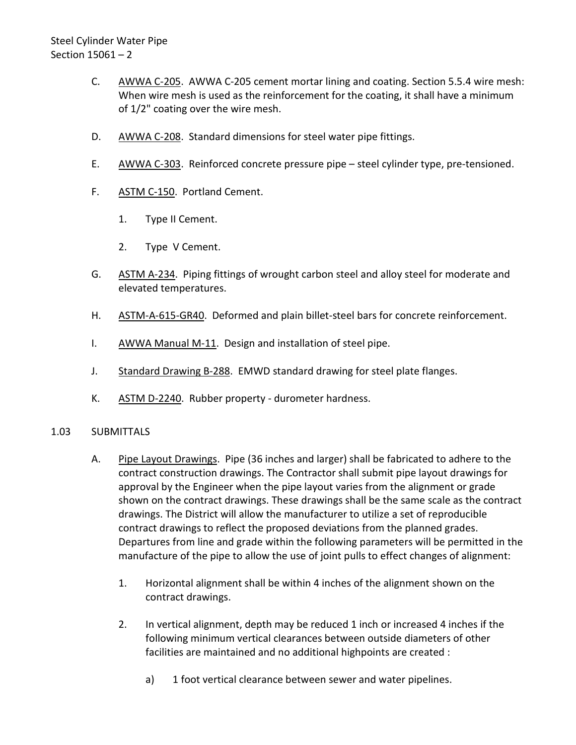- C. AWWA C-205. AWWA C-205 cement mortar lining and coating. Section 5.5.4 wire mesh: When wire mesh is used as the reinforcement for the coating, it shall have a minimum of 1/2" coating over the wire mesh.
- D. AWWA C-208. Standard dimensions for steel water pipe fittings.
- E. AWWA C-303. Reinforced concrete pressure pipe steel cylinder type, pre-tensioned.
- F. ASTM C-150. Portland Cement.
	- 1. Type II Cement.
	- 2. Type V Cement.
- G. ASTM A-234. Piping fittings of wrought carbon steel and alloy steel for moderate and elevated temperatures.
- H. ASTM-A-615-GR40. Deformed and plain billet-steel bars for concrete reinforcement.
- I. AWWA Manual M-11. Design and installation of steel pipe.
- J. Standard Drawing B-288. EMWD standard drawing for steel plate flanges.
- K. ASTM D-2240. Rubber property durometer hardness.

# <span id="page-3-0"></span>1.03 SUBMITTALS

- A. Pipe Layout Drawings. Pipe (36 inches and larger) shall be fabricated to adhere to the contract construction drawings. The Contractor shall submit pipe layout drawings for approval by the Engineer when the pipe layout varies from the alignment or grade shown on the contract drawings. These drawings shall be the same scale as the contract drawings. The District will allow the manufacturer to utilize a set of reproducible contract drawings to reflect the proposed deviations from the planned grades. Departures from line and grade within the following parameters will be permitted in the manufacture of the pipe to allow the use of joint pulls to effect changes of alignment:
	- 1. Horizontal alignment shall be within 4 inches of the alignment shown on the contract drawings.
	- 2. In vertical alignment, depth may be reduced 1 inch or increased 4 inches if the following minimum vertical clearances between outside diameters of other facilities are maintained and no additional highpoints are created :
		- a) 1 foot vertical clearance between sewer and water pipelines.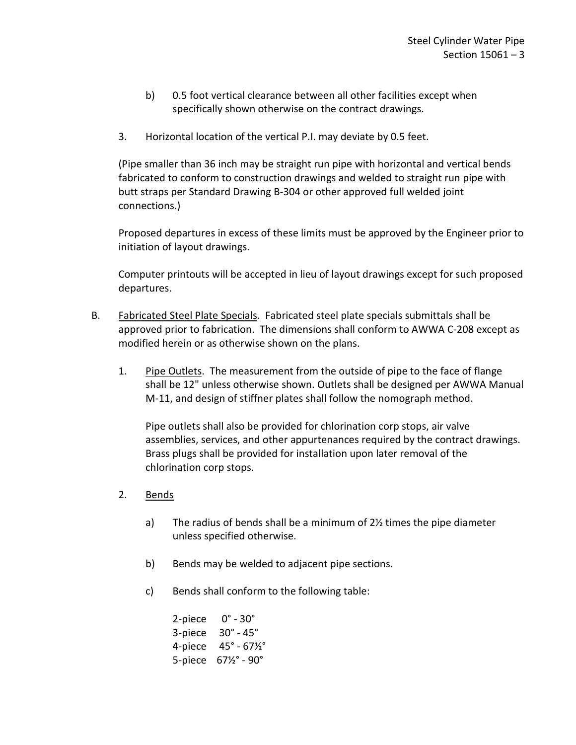- b) 0.5 foot vertical clearance between all other facilities except when specifically shown otherwise on the contract drawings.
- 3. Horizontal location of the vertical P.I. may deviate by 0.5 feet.

(Pipe smaller than 36 inch may be straight run pipe with horizontal and vertical bends fabricated to conform to construction drawings and welded to straight run pipe with butt straps per Standard Drawing B-304 or other approved full welded joint connections.)

Proposed departures in excess of these limits must be approved by the Engineer prior to initiation of layout drawings.

Computer printouts will be accepted in lieu of layout drawings except for such proposed departures.

- B. Fabricated Steel Plate Specials. Fabricated steel plate specials submittals shall be approved prior to fabrication. The dimensions shall conform to AWWA C-208 except as modified herein or as otherwise shown on the plans.
	- 1. Pipe Outlets. The measurement from the outside of pipe to the face of flange shall be 12" unless otherwise shown. Outlets shall be designed per AWWA Manual M-11, and design of stiffner plates shall follow the nomograph method.

Pipe outlets shall also be provided for chlorination corp stops, air valve assemblies, services, and other appurtenances required by the contract drawings. Brass plugs shall be provided for installation upon later removal of the chlorination corp stops.

- 2. Bends
	- a) The radius of bends shall be a minimum of 2½ times the pipe diameter unless specified otherwise.
	- b) Bends may be welded to adjacent pipe sections.
	- c) Bends shall conform to the following table:

2-piece 0° - 30° 3-piece 30° - 45° 4-piece 45° - 67½° 5-piece 67½° - 90°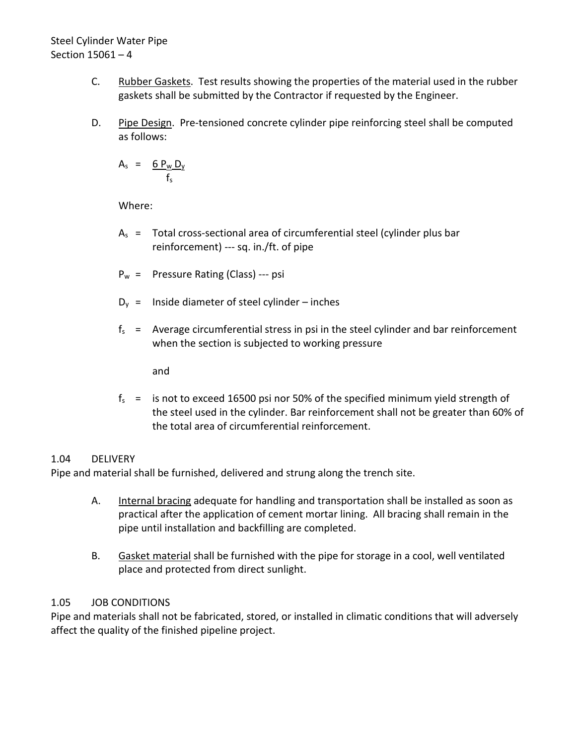- C. Rubber Gaskets. Test results showing the properties of the material used in the rubber gaskets shall be submitted by the Contractor if requested by the Engineer.
- D. Pipe Design. Pre-tensioned concrete cylinder pipe reinforcing steel shall be computed as follows:

 $A_s = 6 P_w D_y$  $f<sub>c</sub>$ 

Where:

- $A<sub>s</sub>$  = Total cross-sectional area of circumferential steel (cylinder plus bar reinforcement) --- sq. in./ft. of pipe
- $P_w =$  Pressure Rating (Class) --- psi
- $D_v$  = Inside diameter of steel cylinder inches
- $f_s$  = Average circumferential stress in psi in the steel cylinder and bar reinforcement when the section is subjected to working pressure

and

 $f_s$  = is not to exceed 16500 psi nor 50% of the specified minimum yield strength of the steel used in the cylinder. Bar reinforcement shall not be greater than 60% of the total area of circumferential reinforcement.

# <span id="page-5-0"></span>1.04 DELIVERY

Pipe and material shall be furnished, delivered and strung along the trench site.

- A. Internal bracing adequate for handling and transportation shall be installed as soon as practical after the application of cement mortar lining. All bracing shall remain in the pipe until installation and backfilling are completed.
- B. Gasket material shall be furnished with the pipe for storage in a cool, well ventilated place and protected from direct sunlight.

# <span id="page-5-1"></span>1.05 JOB CONDITIONS

Pipe and materials shall not be fabricated, stored, or installed in climatic conditions that will adversely affect the quality of the finished pipeline project.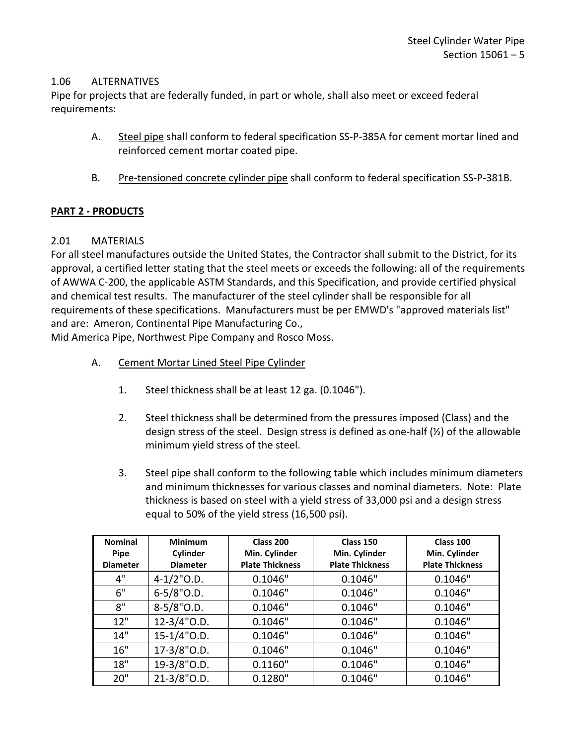### <span id="page-6-0"></span>1.06 ALTERNATIVES

Pipe for projects that are federally funded, in part or whole, shall also meet or exceed federal requirements:

- A. Steel pipe shall conform to federal specification SS-P-385A for cement mortar lined and reinforced cement mortar coated pipe.
- B. Pre-tensioned concrete cylinder pipe shall conform to federal specification SS-P-381B.

### <span id="page-6-1"></span>**PART 2 - PRODUCTS**

### <span id="page-6-2"></span>2.01 MATERIALS

For all steel manufactures outside the United States, the Contractor shall submit to the District, for its approval, a certified letter stating that the steel meets or exceeds the following: all of the requirements of AWWA C-200, the applicable ASTM Standards, and this Specification, and provide certified physical and chemical test results. The manufacturer of the steel cylinder shall be responsible for all requirements of these specifications. Manufacturers must be per EMWD's "approved materials list" and are: Ameron, Continental Pipe Manufacturing Co.,

Mid America Pipe, Northwest Pipe Company and Rosco Moss.

- A. Cement Mortar Lined Steel Pipe Cylinder
	- 1. Steel thickness shall be at least 12 ga. (0.1046").
	- 2. Steel thickness shall be determined from the pressures imposed (Class) and the design stress of the steel. Design stress is defined as one-half (½) of the allowable minimum yield stress of the steel.
	- 3. Steel pipe shall conform to the following table which includes minimum diameters and minimum thicknesses for various classes and nominal diameters. Note: Plate thickness is based on steel with a yield stress of 33,000 psi and a design stress equal to 50% of the yield stress (16,500 psi).

| <b>Nominal</b><br><b>Minimum</b><br>Cylinder<br><b>Pipe</b> |                 | Class 200<br>Min. Cylinder | Class 150<br>Min. Cylinder | Class 100<br>Min. Cylinder |  |
|-------------------------------------------------------------|-----------------|----------------------------|----------------------------|----------------------------|--|
| <b>Diameter</b>                                             | <b>Diameter</b> | <b>Plate Thickness</b>     | <b>Plate Thickness</b>     | <b>Plate Thickness</b>     |  |
| 4"                                                          | $4 - 1/2$ "O.D. | 0.1046"                    | 0.1046"                    | 0.1046"                    |  |
| 6"                                                          | $6 - 5/8$ "O.D. | 0.1046"                    | 0.1046"                    | 0.1046"                    |  |
| 8"                                                          | $8-5/8"$ O.D.   | 0.1046"                    | 0.1046"                    | 0.1046"                    |  |
| 12"                                                         | $12-3/4"$ O.D.  | 0.1046"                    | 0.1046"                    | 0.1046"                    |  |
| 14"                                                         | 15-1/4"O.D.     | 0.1046"                    | 0.1046"                    | 0.1046"                    |  |
| 16"                                                         | 17-3/8"O.D.     | 0.1046"                    | 0.1046"                    | 0.1046"                    |  |
| 18"                                                         | 19-3/8"O.D.     | 0.1160"                    | 0.1046"                    | 0.1046"                    |  |
| 20"                                                         | 21-3/8"O.D.     | 0.1280"                    | 0.1046"                    | 0.1046"                    |  |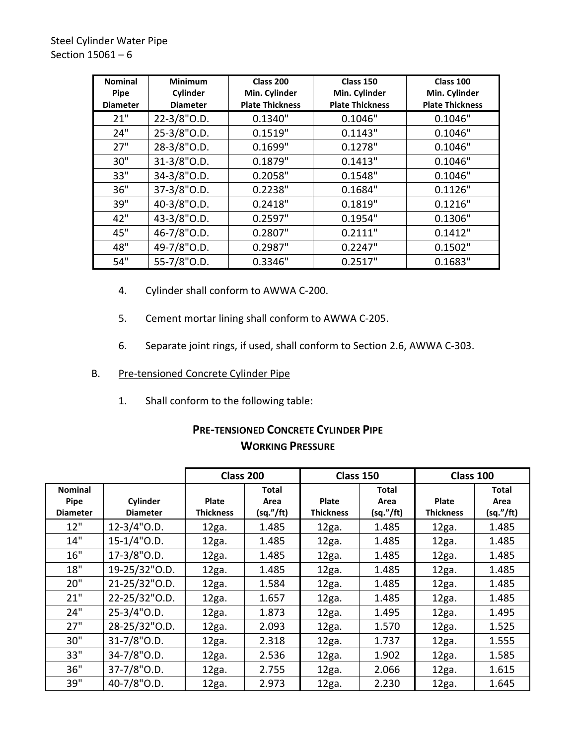| <b>Nominal</b><br><b>Minimum</b><br>Cylinder<br><b>Pipe</b><br><b>Diameter</b><br><b>Diameter</b> |             | Class 200<br>Min. Cylinder<br><b>Plate Thickness</b> | Class 150<br>Min. Cylinder<br><b>Plate Thickness</b> | Class 100<br>Min. Cylinder<br><b>Plate Thickness</b> |  |
|---------------------------------------------------------------------------------------------------|-------------|------------------------------------------------------|------------------------------------------------------|------------------------------------------------------|--|
| 21"                                                                                               | 22-3/8"O.D. | 0.1340"                                              | 0.1046"                                              | 0.1046"                                              |  |
| 24"                                                                                               | 25-3/8"O.D. | 0.1519"                                              | 0.1143"                                              | 0.1046"                                              |  |
| 27"                                                                                               | 28-3/8"O.D. | 0.1699"                                              | 0.1278"                                              | 0.1046"                                              |  |
| 30"                                                                                               | 31-3/8"O.D. | 0.1879"                                              | 0.1413"                                              | 0.1046"                                              |  |
| 33"                                                                                               | 34-3/8"O.D. | 0.2058"                                              | 0.1548"                                              | 0.1046"                                              |  |
| 36"                                                                                               | 37-3/8"O.D. | 0.2238"                                              | 0.1684"                                              | 0.1126"                                              |  |
| 39"                                                                                               | 40-3/8"O.D. | 0.2418"                                              | 0.1819"                                              | 0.1216"                                              |  |
| 42"                                                                                               | 43-3/8"O.D. | 0.2597"                                              | 0.1954"                                              | 0.1306"                                              |  |
| 45"                                                                                               | 46-7/8"O.D. | 0.2807"                                              | 0.2111"                                              | 0.1412"                                              |  |
| 48"                                                                                               | 49-7/8"O.D. | 0.2987"                                              | 0.2247"                                              | 0.1502"                                              |  |
| 54"                                                                                               | 55-7/8"O.D. | 0.3346"                                              | 0.2517"                                              | 0.1683"                                              |  |

- 4. Cylinder shall conform to AWWA C-200.
- 5. Cement mortar lining shall conform to AWWA C-205.
- 6. Separate joint rings, if used, shall conform to Section 2.6, AWWA C-303.
- B. Pre-tensioned Concrete Cylinder Pipe
	- 1. Shall conform to the following table:

# **PRE-TENSIONED CONCRETE CYLINDER PIPE WORKING PRESSURE**

|                                                  |                             | Class 200                        |                                   | Class 150                        |                                   | Class 100                        |                                   |
|--------------------------------------------------|-----------------------------|----------------------------------|-----------------------------------|----------------------------------|-----------------------------------|----------------------------------|-----------------------------------|
| <b>Nominal</b><br><b>Pipe</b><br><b>Diameter</b> | Cylinder<br><b>Diameter</b> | <b>Plate</b><br><b>Thickness</b> | <b>Total</b><br>Area<br>(sq.'/ft) | <b>Plate</b><br><b>Thickness</b> | <b>Total</b><br>Area<br>(sq.'/ft) | <b>Plate</b><br><b>Thickness</b> | <b>Total</b><br>Area<br>(sq."/ft) |
| 12"                                              | $12 - 3/4$ "O.D.            | 12ga.                            | 1.485                             | 12ga.                            | 1.485                             | 12ga.                            | 1.485                             |
| 14"                                              | 15-1/4"O.D.                 | 12ga.                            | 1.485                             | 12ga.                            | 1.485                             | 12ga.                            | 1.485                             |
| 16"                                              | 17-3/8"O.D.                 | 12ga.                            | 1.485                             | 12ga.                            | 1.485                             | 12ga.                            | 1.485                             |
| 18"                                              | 19-25/32"O.D.               | 12ga.                            | 1.485                             | 12ga.                            | 1.485                             | 12ga.                            | 1.485                             |
| 20"                                              | 21-25/32"O.D.               | 12ga.                            | 1.584                             | 12ga.                            | 1.485                             | 12ga.                            | 1.485                             |
| 21"                                              | 22-25/32"O.D.               | 12ga.                            | 1.657                             | 12ga.                            | 1.485                             | 12ga.                            | 1.485                             |
| 24"                                              | 25-3/4"O.D.                 | 12ga.                            | 1.873                             | 12ga.                            | 1.495                             | 12ga.                            | 1.495                             |
| 27"                                              | 28-25/32"O.D.               | 12ga.                            | 2.093                             | 12ga.                            | 1.570                             | 12ga.                            | 1.525                             |
| 30"                                              | 31-7/8"O.D.                 | 12ga.                            | 2.318                             | 12ga.                            | 1.737                             | 12ga.                            | 1.555                             |
| 33"                                              | 34-7/8"O.D.                 | 12ga.                            | 2.536                             | 12ga.                            | 1.902                             | 12ga.                            | 1.585                             |
| 36"                                              | 37-7/8"O.D.                 | 12ga.                            | 2.755                             | 12ga.                            | 2.066                             | 12ga.                            | 1.615                             |
| 39"                                              | 40-7/8"O.D.                 | 12ga.                            | 2.973                             | 12ga.                            | 2.230                             | 12ga.                            | 1.645                             |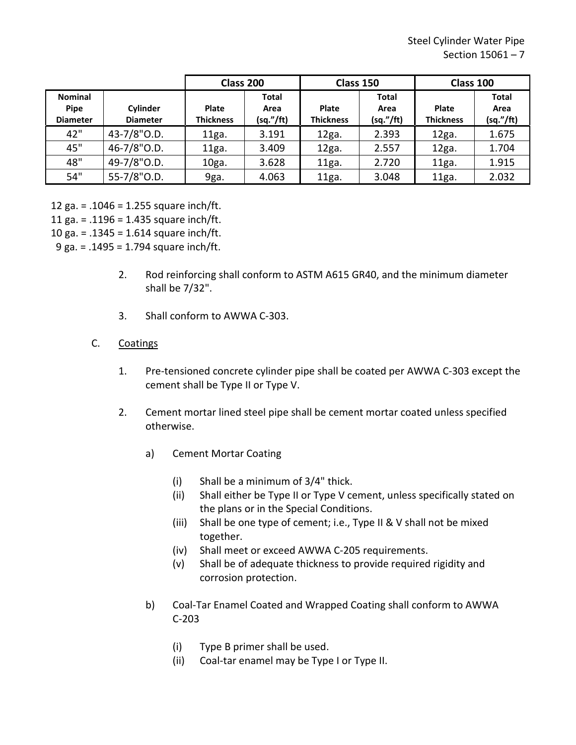|                                           |                             | Class 200                        |                                   | Class 150                        |                                   | Class 100                 |                                   |
|-------------------------------------------|-----------------------------|----------------------------------|-----------------------------------|----------------------------------|-----------------------------------|---------------------------|-----------------------------------|
| <b>Nominal</b><br>Pipe<br><b>Diameter</b> | Cylinder<br><b>Diameter</b> | <b>Plate</b><br><b>Thickness</b> | <b>Total</b><br>Area<br>(sq.'/ft) | <b>Plate</b><br><b>Thickness</b> | <b>Total</b><br>Area<br>(sq."/ft) | Plate<br><b>Thickness</b> | <b>Total</b><br>Area<br>(sq."/ft) |
| 42"                                       | 43-7/8"O.D.                 | 11ga.                            | 3.191                             | 12ga.                            | 2.393                             | 12ga.                     | 1.675                             |
| 45"                                       | 46-7/8"O.D.                 | 11ga.                            | 3.409                             | 12ga.                            | 2.557                             | 12ga.                     | 1.704                             |
| 48"                                       | 49-7/8"O.D.                 | 10ga.                            | 3.628                             | 11ga.                            | 2.720                             | 11ga.                     | 1.915                             |
| 54"                                       | 55-7/8"O.D.                 | 9ga.                             | 4.063                             | 11ga.                            | 3.048                             | 11ga.                     | 2.032                             |

12 ga. = .1046 = 1.255 square inch/ft.

11 ga. = .1196 = 1.435 square inch/ft.

10 ga. = .1345 = 1.614 square inch/ft.

9 ga. = .1495 = 1.794 square inch/ft.

- 2. Rod reinforcing shall conform to ASTM A615 GR40, and the minimum diameter shall be 7/32".
- 3. Shall conform to AWWA C-303.

# C. Coatings

- 1. Pre-tensioned concrete cylinder pipe shall be coated per AWWA C-303 except the cement shall be Type II or Type V.
- 2. Cement mortar lined steel pipe shall be cement mortar coated unless specified otherwise.
	- a) Cement Mortar Coating
		- (i) Shall be a minimum of 3/4" thick.
		- (ii) Shall either be Type II or Type V cement, unless specifically stated on the plans or in the Special Conditions.
		- (iii) Shall be one type of cement; i.e., Type II & V shall not be mixed together.
		- (iv) Shall meet or exceed AWWA C-205 requirements.
		- (v) Shall be of adequate thickness to provide required rigidity and corrosion protection.
	- b) Coal-Tar Enamel Coated and Wrapped Coating shall conform to AWWA C-203
		- (i) Type B primer shall be used.
		- (ii) Coal-tar enamel may be Type I or Type II.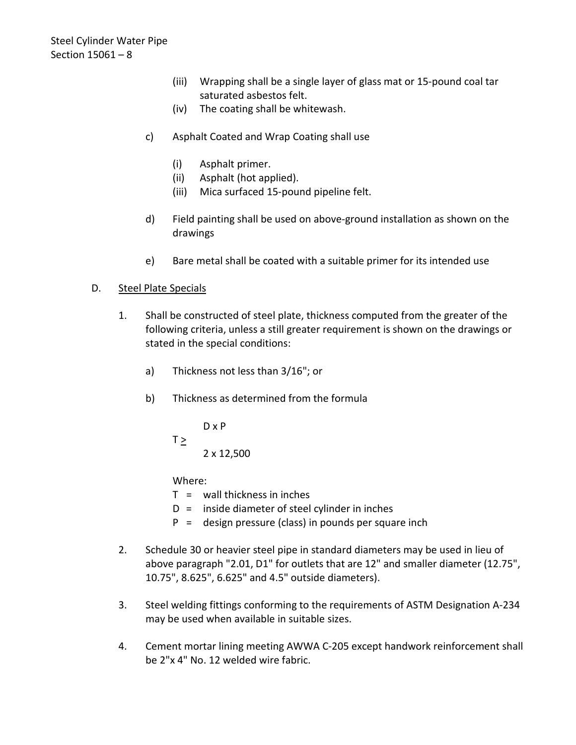- (iii) Wrapping shall be a single layer of glass mat or 15-pound coal tar saturated asbestos felt.
- (iv) The coating shall be whitewash.
- c) Asphalt Coated and Wrap Coating shall use
	- (i) Asphalt primer.
	- (ii) Asphalt (hot applied).
	- (iii) Mica surfaced 15-pound pipeline felt.
- d) Field painting shall be used on above-ground installation as shown on the drawings
- e) Bare metal shall be coated with a suitable primer for its intended use

# D. Steel Plate Specials

- 1. Shall be constructed of steel plate, thickness computed from the greater of the following criteria, unless a still greater requirement is shown on the drawings or stated in the special conditions:
	- a) Thickness not less than 3/16"; or
	- b) Thickness as determined from the formula

D x P  $T \geq$ 2 x 12,500

Where:

- $T =$  wall thickness in inches
- $D =$  inside diameter of steel cylinder in inches
- P = design pressure (class) in pounds per square inch
- 2. Schedule 30 or heavier steel pipe in standard diameters may be used in lieu of above paragraph "2.01, D1" for outlets that are 12" and smaller diameter (12.75", 10.75", 8.625", 6.625" and 4.5" outside diameters).
- 3. Steel welding fittings conforming to the requirements of ASTM Designation A-234 may be used when available in suitable sizes.
- 4. Cement mortar lining meeting AWWA C-205 except handwork reinforcement shall be 2"x 4" No. 12 welded wire fabric.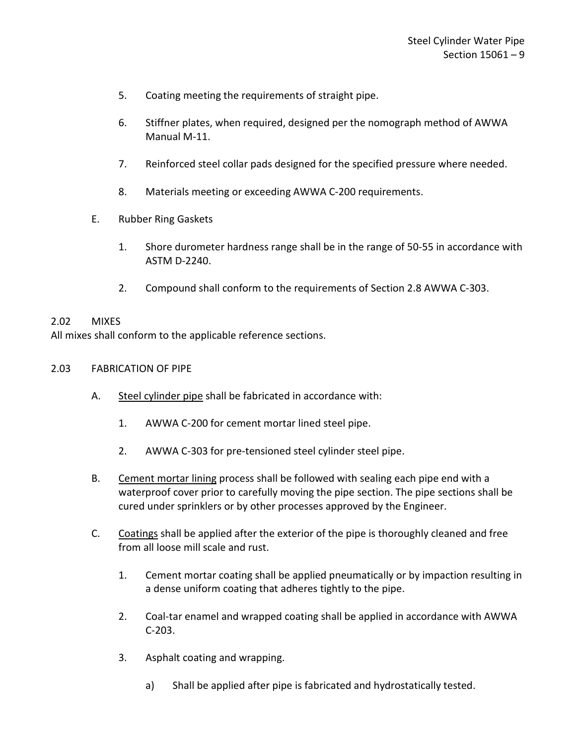- 5. Coating meeting the requirements of straight pipe.
- 6. Stiffner plates, when required, designed per the nomograph method of AWWA Manual M-11.
- 7. Reinforced steel collar pads designed for the specified pressure where needed.
- 8. Materials meeting or exceeding AWWA C-200 requirements.
- E. Rubber Ring Gaskets
	- 1. Shore durometer hardness range shall be in the range of 50-55 in accordance with ASTM D-2240.
	- 2. Compound shall conform to the requirements of Section 2.8 AWWA C-303.

#### <span id="page-10-0"></span>2.02 MIXES

All mixes shall conform to the applicable reference sections.

- <span id="page-10-1"></span>2.03 FABRICATION OF PIPE
	- A. Steel cylinder pipe shall be fabricated in accordance with:
		- 1. AWWA C-200 for cement mortar lined steel pipe.
		- 2. AWWA C-303 for pre-tensioned steel cylinder steel pipe.
	- B. Cement mortar lining process shall be followed with sealing each pipe end with a waterproof cover prior to carefully moving the pipe section. The pipe sections shall be cured under sprinklers or by other processes approved by the Engineer.
	- C. Coatings shall be applied after the exterior of the pipe is thoroughly cleaned and free from all loose mill scale and rust.
		- 1. Cement mortar coating shall be applied pneumatically or by impaction resulting in a dense uniform coating that adheres tightly to the pipe.
		- 2. Coal-tar enamel and wrapped coating shall be applied in accordance with AWWA C-203.
		- 3. Asphalt coating and wrapping.
			- a) Shall be applied after pipe is fabricated and hydrostatically tested.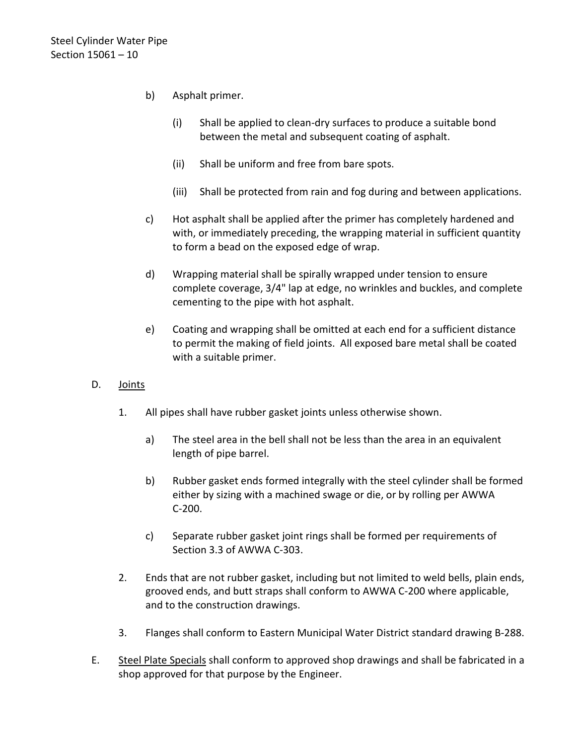- b) Asphalt primer.
	- (i) Shall be applied to clean-dry surfaces to produce a suitable bond between the metal and subsequent coating of asphalt.
	- (ii) Shall be uniform and free from bare spots.
	- (iii) Shall be protected from rain and fog during and between applications.
- c) Hot asphalt shall be applied after the primer has completely hardened and with, or immediately preceding, the wrapping material in sufficient quantity to form a bead on the exposed edge of wrap.
- d) Wrapping material shall be spirally wrapped under tension to ensure complete coverage, 3/4" lap at edge, no wrinkles and buckles, and complete cementing to the pipe with hot asphalt.
- e) Coating and wrapping shall be omitted at each end for a sufficient distance to permit the making of field joints. All exposed bare metal shall be coated with a suitable primer.
- D. Joints
	- 1. All pipes shall have rubber gasket joints unless otherwise shown.
		- a) The steel area in the bell shall not be less than the area in an equivalent length of pipe barrel.
		- b) Rubber gasket ends formed integrally with the steel cylinder shall be formed either by sizing with a machined swage or die, or by rolling per AWWA C-200.
		- c) Separate rubber gasket joint rings shall be formed per requirements of Section 3.3 of AWWA C-303.
	- 2. Ends that are not rubber gasket, including but not limited to weld bells, plain ends, grooved ends, and butt straps shall conform to AWWA C-200 where applicable, and to the construction drawings.
	- 3. Flanges shall conform to Eastern Municipal Water District standard drawing B-288.
- E. Steel Plate Specials shall conform to approved shop drawings and shall be fabricated in a shop approved for that purpose by the Engineer.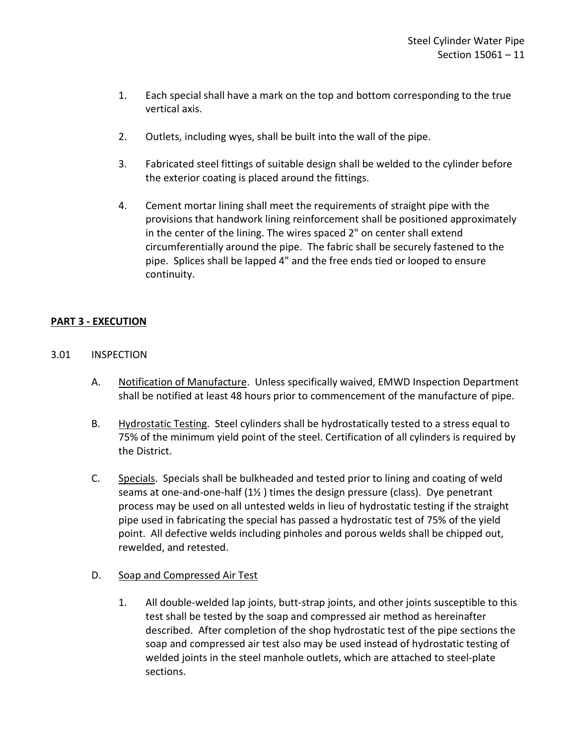- 1. Each special shall have a mark on the top and bottom corresponding to the true vertical axis.
- 2. Outlets, including wyes, shall be built into the wall of the pipe.
- 3. Fabricated steel fittings of suitable design shall be welded to the cylinder before the exterior coating is placed around the fittings.
- 4. Cement mortar lining shall meet the requirements of straight pipe with the provisions that handwork lining reinforcement shall be positioned approximately in the center of the lining. The wires spaced 2" on center shall extend circumferentially around the pipe. The fabric shall be securely fastened to the pipe. Splices shall be lapped 4" and the free ends tied or looped to ensure continuity.

### <span id="page-12-0"></span>**PART 3 - EXECUTION**

- <span id="page-12-1"></span>3.01 INSPECTION
	- A. Notification of Manufacture. Unless specifically waived, EMWD Inspection Department shall be notified at least 48 hours prior to commencement of the manufacture of pipe.
	- B. Hydrostatic Testing. Steel cylinders shall be hydrostatically tested to a stress equal to 75% of the minimum yield point of the steel. Certification of all cylinders is required by the District.
	- C. Specials. Specials shall be bulkheaded and tested prior to lining and coating of weld seams at one-and-one-half (1½ ) times the design pressure (class). Dye penetrant process may be used on all untested welds in lieu of hydrostatic testing if the straight pipe used in fabricating the special has passed a hydrostatic test of 75% of the yield point. All defective welds including pinholes and porous welds shall be chipped out, rewelded, and retested.

#### D. Soap and Compressed Air Test

1. All double-welded lap joints, butt-strap joints, and other joints susceptible to this test shall be tested by the soap and compressed air method as hereinafter described. After completion of the shop hydrostatic test of the pipe sections the soap and compressed air test also may be used instead of hydrostatic testing of welded joints in the steel manhole outlets, which are attached to steel-plate sections.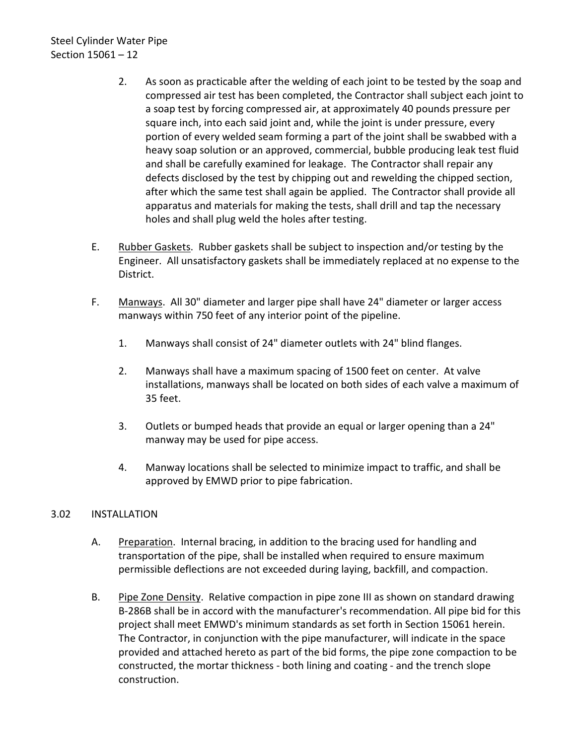- 2. As soon as practicable after the welding of each joint to be tested by the soap and compressed air test has been completed, the Contractor shall subject each joint to a soap test by forcing compressed air, at approximately 40 pounds pressure per square inch, into each said joint and, while the joint is under pressure, every portion of every welded seam forming a part of the joint shall be swabbed with a heavy soap solution or an approved, commercial, bubble producing leak test fluid and shall be carefully examined for leakage. The Contractor shall repair any defects disclosed by the test by chipping out and rewelding the chipped section, after which the same test shall again be applied. The Contractor shall provide all apparatus and materials for making the tests, shall drill and tap the necessary holes and shall plug weld the holes after testing.
- E. Rubber Gaskets. Rubber gaskets shall be subject to inspection and/or testing by the Engineer. All unsatisfactory gaskets shall be immediately replaced at no expense to the District.
- F. Manways. All 30" diameter and larger pipe shall have 24" diameter or larger access manways within 750 feet of any interior point of the pipeline.
	- 1. Manways shall consist of 24" diameter outlets with 24" blind flanges.
	- 2. Manways shall have a maximum spacing of 1500 feet on center. At valve installations, manways shall be located on both sides of each valve a maximum of 35 feet.
	- 3. Outlets or bumped heads that provide an equal or larger opening than a 24" manway may be used for pipe access.
	- 4. Manway locations shall be selected to minimize impact to traffic, and shall be approved by EMWD prior to pipe fabrication.

# <span id="page-13-0"></span>3.02 INSTALLATION

- A. Preparation. Internal bracing, in addition to the bracing used for handling and transportation of the pipe, shall be installed when required to ensure maximum permissible deflections are not exceeded during laying, backfill, and compaction.
- B. Pipe Zone Density. Relative compaction in pipe zone III as shown on standard drawing B-286B shall be in accord with the manufacturer's recommendation. All pipe bid for this project shall meet EMWD's minimum standards as set forth in Section 15061 herein. The Contractor, in conjunction with the pipe manufacturer, will indicate in the space provided and attached hereto as part of the bid forms, the pipe zone compaction to be constructed, the mortar thickness - both lining and coating - and the trench slope construction.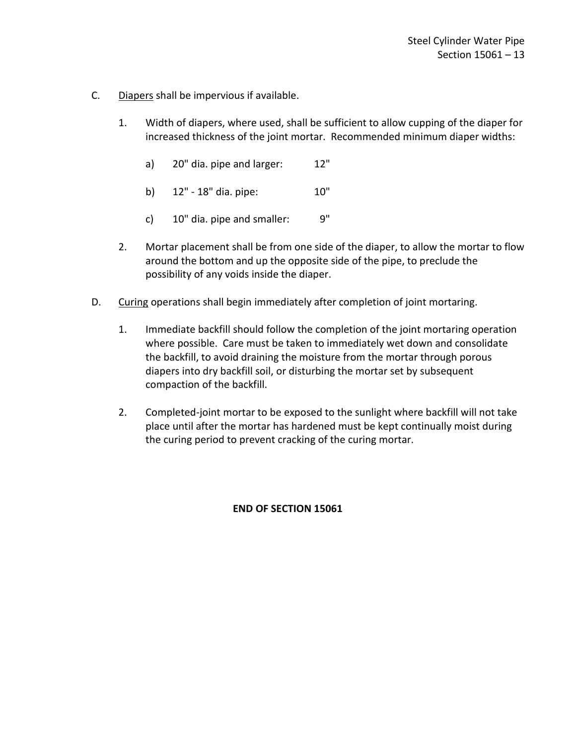- C. Diapers shall be impervious if available.
	- 1. Width of diapers, where used, shall be sufficient to allow cupping of the diaper for increased thickness of the joint mortar. Recommended minimum diaper widths:
		- a) 20" dia. pipe and larger: 12"
		- b) 12" 18" dia. pipe: 10"
		- c)  $10"$  dia. pipe and smaller:  $9"$
	- 2. Mortar placement shall be from one side of the diaper, to allow the mortar to flow around the bottom and up the opposite side of the pipe, to preclude the possibility of any voids inside the diaper.
- D. Curing operations shall begin immediately after completion of joint mortaring.
	- 1. Immediate backfill should follow the completion of the joint mortaring operation where possible. Care must be taken to immediately wet down and consolidate the backfill, to avoid draining the moisture from the mortar through porous diapers into dry backfill soil, or disturbing the mortar set by subsequent compaction of the backfill.
	- 2. Completed-joint mortar to be exposed to the sunlight where backfill will not take place until after the mortar has hardened must be kept continually moist during the curing period to prevent cracking of the curing mortar.

#### **END OF SECTION 15061**